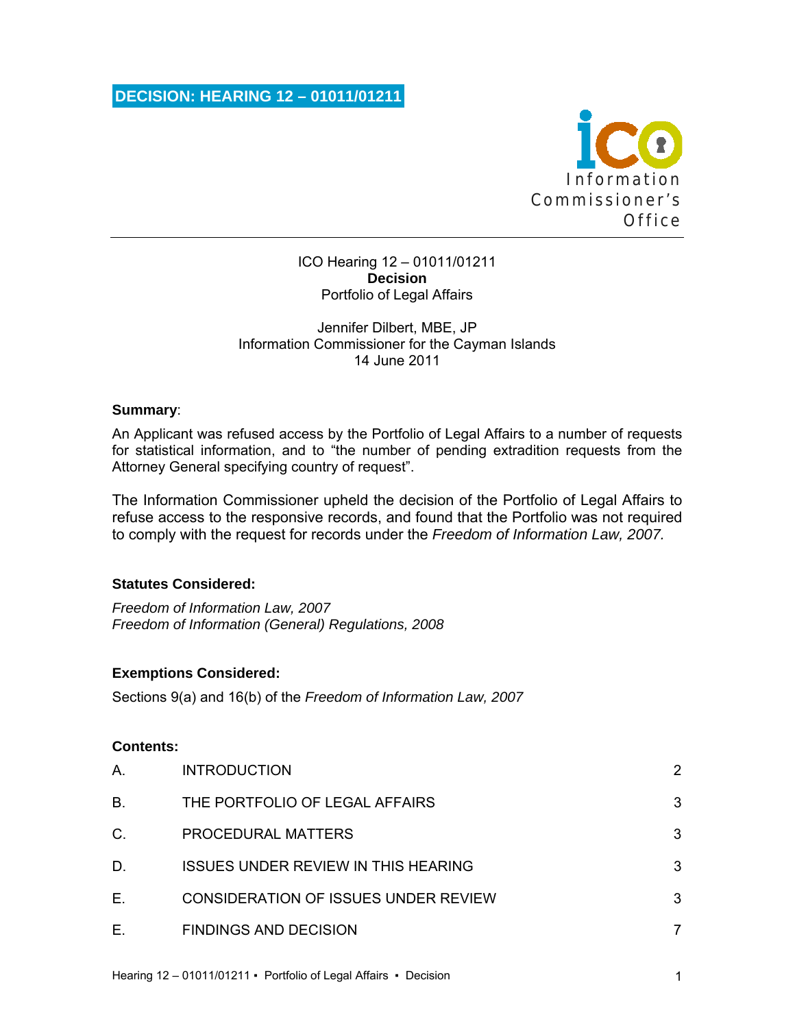**DECISION: HEARING 12 – 01011/01211** 



### ICO Hearing 12 – 01011/01211 **Decision**  Portfolio of Legal Affairs

## Jennifer Dilbert, MBE, JP Information Commissioner for the Cayman Islands 14 June 2011

### **Summary**:

An Applicant was refused access by the Portfolio of Legal Affairs to a number of requests for statistical information, and to "the number of pending extradition requests from the Attorney General specifying country of request".

The Information Commissioner upheld the decision of the Portfolio of Legal Affairs to refuse access to the responsive records, and found that the Portfolio was not required to comply with the request for records under the *Freedom of Information Law, 2007.*

#### **Statutes Considered:**

*Freedom of Information Law, 2007 Freedom of Information (General) Regulations, 2008* 

## **Exemptions Considered:**

Sections 9(a) and 16(b) of the *Freedom of Information Law, 2007*

#### **Contents:**

| Α. | <b>INTRODUCTION</b>                        |   |
|----|--------------------------------------------|---|
| В. | THE PORTFOLIO OF LEGAL AFFAIRS             | 3 |
| C. | PROCEDURAL MATTERS                         | 3 |
| D. | <b>ISSUES UNDER REVIEW IN THIS HEARING</b> | 3 |
| Е. | CONSIDERATION OF ISSUES UNDER REVIEW       | 3 |
| Е. | <b>FINDINGS AND DECISION</b>               |   |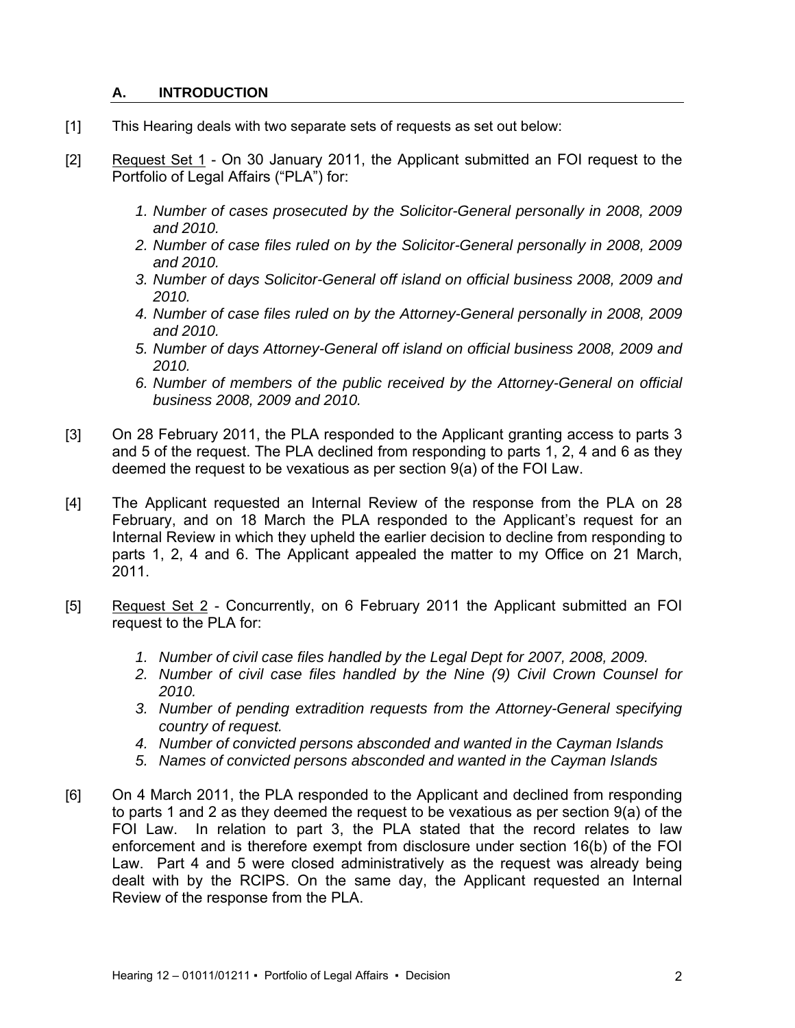## **A. INTRODUCTION**

- [1] This Hearing deals with two separate sets of requests as set out below:
- [2] Request Set 1 On 30 January 2011, the Applicant submitted an FOI request to the Portfolio of Legal Affairs ("PLA") for:
	- *1. Number of cases prosecuted by the Solicitor-General personally in 2008, 2009 and 2010.*
	- *2. Number of case files ruled on by the Solicitor-General personally in 2008, 2009 and 2010.*
	- *3. Number of days Solicitor-General off island on official business 2008, 2009 and 2010.*
	- *4. Number of case files ruled on by the Attorney-General personally in 2008, 2009 and 2010.*
	- *5. Number of days Attorney-General off island on official business 2008, 2009 and 2010.*
	- *6. Number of members of the public received by the Attorney-General on official business 2008, 2009 and 2010.*
- [3] On 28 February 2011, the PLA responded to the Applicant granting access to parts 3 and 5 of the request. The PLA declined from responding to parts 1, 2, 4 and 6 as they deemed the request to be vexatious as per section 9(a) of the FOI Law.
- [4] The Applicant requested an Internal Review of the response from the PLA on 28 February, and on 18 March the PLA responded to the Applicant's request for an Internal Review in which they upheld the earlier decision to decline from responding to parts 1, 2, 4 and 6. The Applicant appealed the matter to my Office on 21 March, 2011.
- [5] Request Set 2 Concurrently, on 6 February 2011 the Applicant submitted an FOI request to the PLA for:
	- 1. Number of civil case files handled by the Legal Dept for 2007, 2008, 2009.
	- *2. Number of civil case files handled by the Nine (9) Civil Crown Counsel for 2010.*
	- *3. Number of pending extradition requests from the Attorney-General specifying country of request.*
	- *4. Number of convicted persons absconded and wanted in the Cayman Islands*
	- *5. Names of convicted persons absconded and wanted in the Cayman Islands*
- [6] On 4 March 2011, the PLA responded to the Applicant and declined from responding to parts 1 and 2 as they deemed the request to be vexatious as per section 9(a) of the FOI Law. In relation to part 3, the PLA stated that the record relates to law enforcement and is therefore exempt from disclosure under section 16(b) of the FOI Law. Part 4 and 5 were closed administratively as the request was already being dealt with by the RCIPS. On the same day, the Applicant requested an Internal Review of the response from the PLA.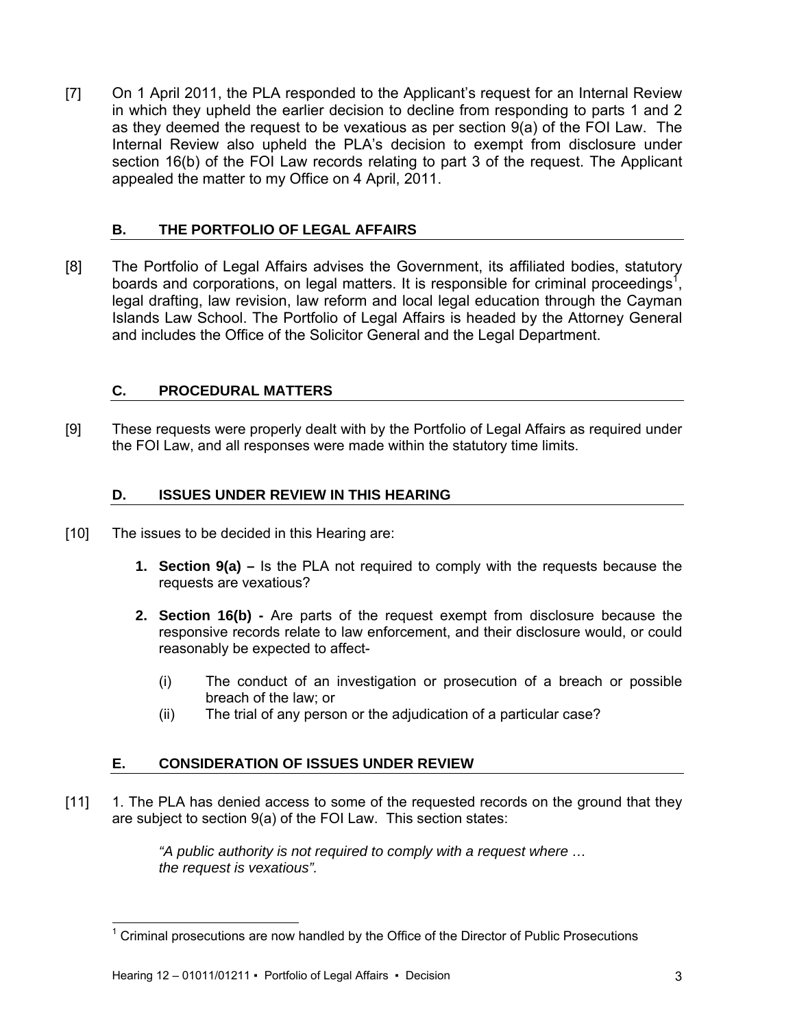[7] On 1 April 2011, the PLA responded to the Applicant's request for an Internal Review in which they upheld the earlier decision to decline from responding to parts 1 and 2 as they deemed the request to be vexatious as per section 9(a) of the FOI Law. The Internal Review also upheld the PLA's decision to exempt from disclosure under section 16(b) of the FOI Law records relating to part 3 of the request. The Applicant appealed the matter to my Office on 4 April, 2011.

## **B. THE PORTFOLIO OF LEGAL AFFAIRS**

[8] The Portfolio of Legal Affairs advises the Government, its affiliated bodies, statutory boards and corporations, on legal matters. It is responsible for criminal proceedings<sup>1</sup>, legal drafting, law revision, law reform and local legal education through the Cayman Islands Law School. The Portfolio of Legal Affairs is headed by the Attorney General and includes the Office of the Solicitor General and the Legal Department.

## **C. PROCEDURAL MATTERS**

[9] These requests were properly dealt with by the Portfolio of Legal Affairs as required under the FOI Law, and all responses were made within the statutory time limits.

## **D. ISSUES UNDER REVIEW IN THIS HEARING**

- [10] The issues to be decided in this Hearing are:
	- **1. Section 9(a)** Is the PLA not required to comply with the requests because the requests are vexatious?
	- **2. Section 16(b)** Are parts of the request exempt from disclosure because the responsive records relate to law enforcement, and their disclosure would, or could reasonably be expected to affect-
		- (i) The conduct of an investigation or prosecution of a breach or possible breach of the law; or
		- (ii) The trial of any person or the adjudication of a particular case?

# **E. CONSIDERATION OF ISSUES UNDER REVIEW**

[11] 1. The PLA has denied access to some of the requested records on the ground that they are subject to section 9(a) of the FOI Law. This section states:

> *"A public authority is not required to comply with a request where … the request is vexatious".*

l

<sup>1</sup> Criminal prosecutions are now handled by the Office of the Director of Public Prosecutions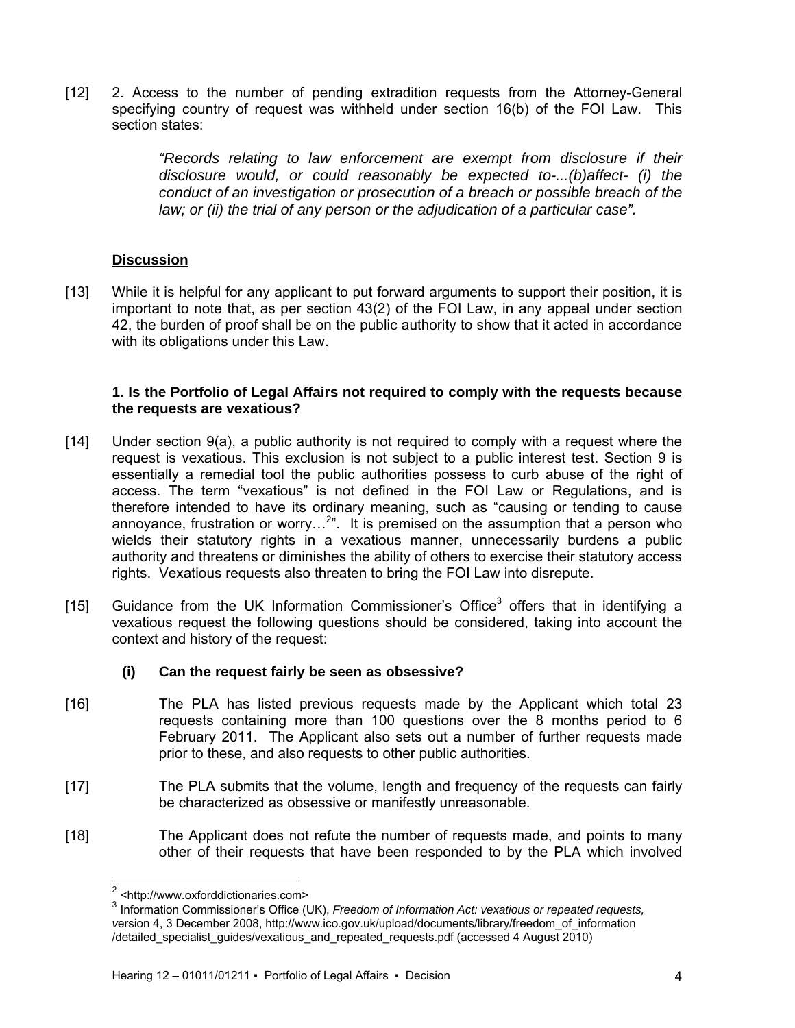[12] 2. Access to the number of pending extradition requests from the Attorney-General specifying country of request was withheld under section 16(b) of the FOI Law. This section states:

> *"Records relating to law enforcement are exempt from disclosure if their disclosure would, or could reasonably be expected to-...(b)affect- (i) the conduct of an investigation or prosecution of a breach or possible breach of the law; or (ii) the trial of any person or the adjudication of a particular case".*

## **Discussion**

[13] While it is helpful for any applicant to put forward arguments to support their position, it is important to note that, as per section 43(2) of the FOI Law, in any appeal under section 42, the burden of proof shall be on the public authority to show that it acted in accordance with its obligations under this Law.

### **1. Is the Portfolio of Legal Affairs not required to comply with the requests because the requests are vexatious?**

- [14] Under section 9(a), a public authority is not required to comply with a request where the request is vexatious. This exclusion is not subject to a public interest test. Section 9 is essentially a remedial tool the public authorities possess to curb abuse of the right of access. The term "vexatious" is not defined in the FOI Law or Regulations, and is therefore intended to have its ordinary meaning, such as "causing or tending to cause annoyance, frustration or worry...<sup>2</sup>". It is premised on the assumption that a person who wields their statutory rights in a vexatious manner, unnecessarily burdens a public authority and threatens or diminishes the ability of others to exercise their statutory access rights. Vexatious requests also threaten to bring the FOI Law into disrepute.
- [15] Guidance from the UK Information Commissioner's Office<sup>3</sup> offers that in identifying a vexatious request the following questions should be considered, taking into account the context and history of the request:

## **(i) Can the request fairly be seen as obsessive?**

- [16] The PLA has listed previous requests made by the Applicant which total 23 requests containing more than 100 questions over the 8 months period to 6 February 2011. The Applicant also sets out a number of further requests made prior to these, and also requests to other public authorities.
- [17] The PLA submits that the volume, length and frequency of the requests can fairly be characterized as obsessive or manifestly unreasonable.
- [18] The Applicant does not refute the number of requests made, and points to many other of their requests that have been responded to by the PLA which involved

l

<sup>&</sup>lt;sup>2</sup> <http://www.oxforddictionaries.com>

<sup>3</sup> Information Commissioner's Office (UK), *Freedom of Information Act: vexatious or repeated requests, v*ersion 4, 3 December 2008, http://www.ico.gov.uk/upload/documents/library/freedom\_of\_information /detailed\_specialist\_guides/vexatious\_and\_repeated\_requests.pdf (accessed 4 August 2010)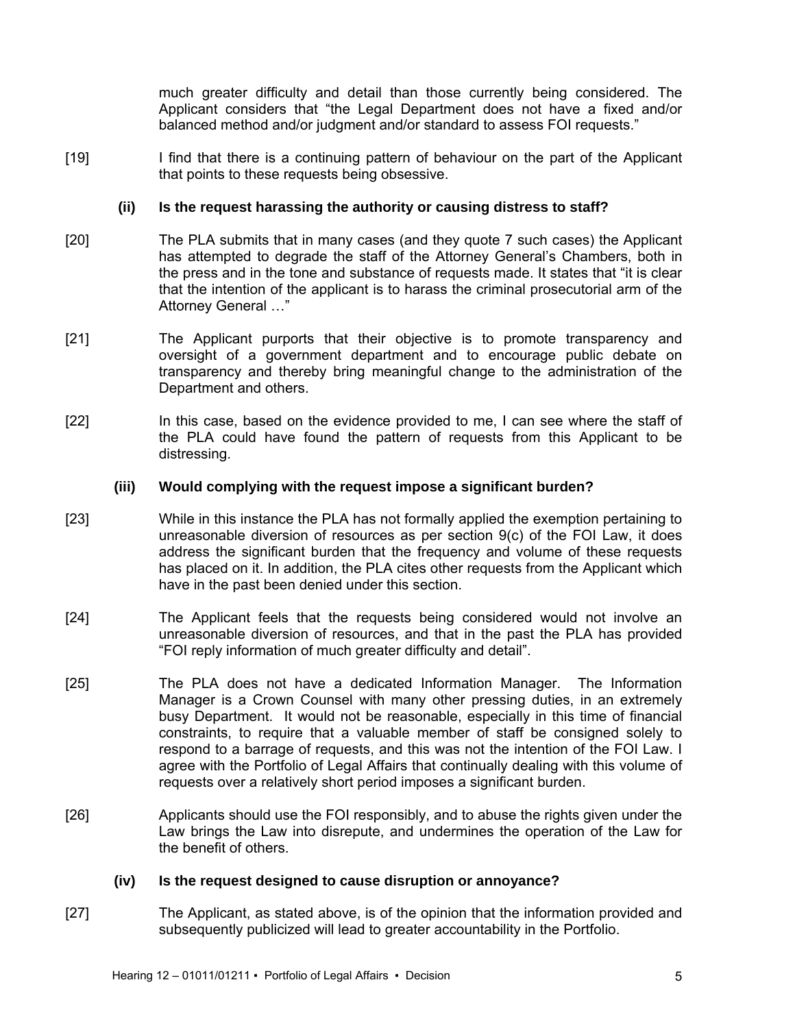much greater difficulty and detail than those currently being considered. The Applicant considers that "the Legal Department does not have a fixed and/or balanced method and/or judgment and/or standard to assess FOI requests."

[19] I find that there is a continuing pattern of behaviour on the part of the Applicant that points to these requests being obsessive.

### **(ii) Is the request harassing the authority or causing distress to staff?**

- [20] The PLA submits that in many cases (and they quote 7 such cases) the Applicant has attempted to degrade the staff of the Attorney General's Chambers, both in the press and in the tone and substance of requests made. It states that "it is clear that the intention of the applicant is to harass the criminal prosecutorial arm of the Attorney General …"
- [21] The Applicant purports that their objective is to promote transparency and oversight of a government department and to encourage public debate on transparency and thereby bring meaningful change to the administration of the Department and others.
- [22] In this case, based on the evidence provided to me, I can see where the staff of the PLA could have found the pattern of requests from this Applicant to be distressing.

#### **(iii) Would complying with the request impose a significant burden?**

- [23] While in this instance the PLA has not formally applied the exemption pertaining to unreasonable diversion of resources as per section 9(c) of the FOI Law, it does address the significant burden that the frequency and volume of these requests has placed on it. In addition, the PLA cites other requests from the Applicant which have in the past been denied under this section.
- [24] The Applicant feels that the requests being considered would not involve an unreasonable diversion of resources, and that in the past the PLA has provided "FOI reply information of much greater difficulty and detail".
- [25] The PLA does not have a dedicated Information Manager. The Information Manager is a Crown Counsel with many other pressing duties, in an extremely busy Department. It would not be reasonable, especially in this time of financial constraints, to require that a valuable member of staff be consigned solely to respond to a barrage of requests, and this was not the intention of the FOI Law. I agree with the Portfolio of Legal Affairs that continually dealing with this volume of requests over a relatively short period imposes a significant burden.
- [26] Applicants should use the FOI responsibly, and to abuse the rights given under the Law brings the Law into disrepute, and undermines the operation of the Law for the benefit of others.

#### **(iv) Is the request designed to cause disruption or annoyance?**

[27] The Applicant, as stated above, is of the opinion that the information provided and subsequently publicized will lead to greater accountability in the Portfolio.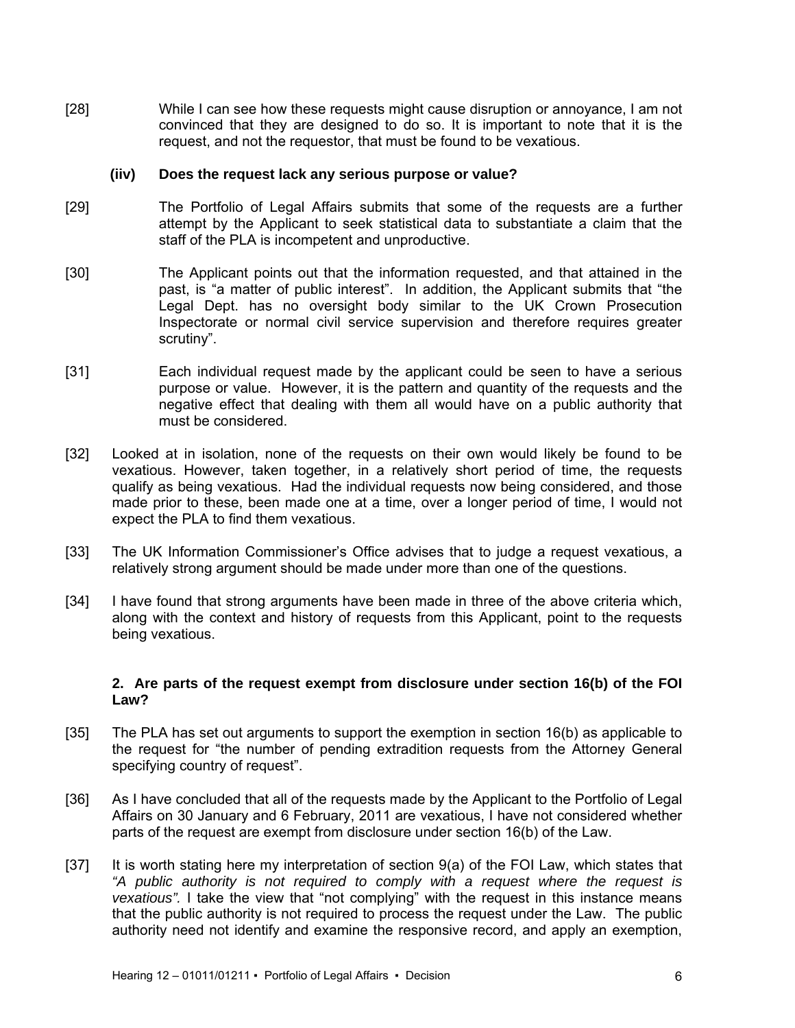[28] While I can see how these requests might cause disruption or annoyance, I am not convinced that they are designed to do so. It is important to note that it is the request, and not the requestor, that must be found to be vexatious.

#### **(iiv) Does the request lack any serious purpose or value?**

- [29] The Portfolio of Legal Affairs submits that some of the requests are a further attempt by the Applicant to seek statistical data to substantiate a claim that the staff of the PLA is incompetent and unproductive.
- [30] The Applicant points out that the information requested, and that attained in the past, is "a matter of public interest". In addition, the Applicant submits that "the Legal Dept. has no oversight body similar to the UK Crown Prosecution Inspectorate or normal civil service supervision and therefore requires greater scrutiny".
- [31] Each individual request made by the applicant could be seen to have a serious purpose or value. However, it is the pattern and quantity of the requests and the negative effect that dealing with them all would have on a public authority that must be considered.
- [32] Looked at in isolation, none of the requests on their own would likely be found to be vexatious. However, taken together, in a relatively short period of time, the requests qualify as being vexatious. Had the individual requests now being considered, and those made prior to these, been made one at a time, over a longer period of time, I would not expect the PLA to find them vexatious.
- [33] The UK Information Commissioner's Office advises that to judge a request vexatious, a relatively strong argument should be made under more than one of the questions.
- [34] I have found that strong arguments have been made in three of the above criteria which, along with the context and history of requests from this Applicant, point to the requests being vexatious.

#### **2. Are parts of the request exempt from disclosure under section 16(b) of the FOI Law?**

- [35] The PLA has set out arguments to support the exemption in section 16(b) as applicable to the request for "the number of pending extradition requests from the Attorney General specifying country of request".
- [36] As I have concluded that all of the requests made by the Applicant to the Portfolio of Legal Affairs on 30 January and 6 February, 2011 are vexatious, I have not considered whether parts of the request are exempt from disclosure under section 16(b) of the Law.
- [37] It is worth stating here my interpretation of section 9(a) of the FOI Law, which states that *"A public authority is not required to comply with a request where the request is vexatious".* I take the view that "not complying" with the request in this instance means that the public authority is not required to process the request under the Law. The public authority need not identify and examine the responsive record, and apply an exemption,